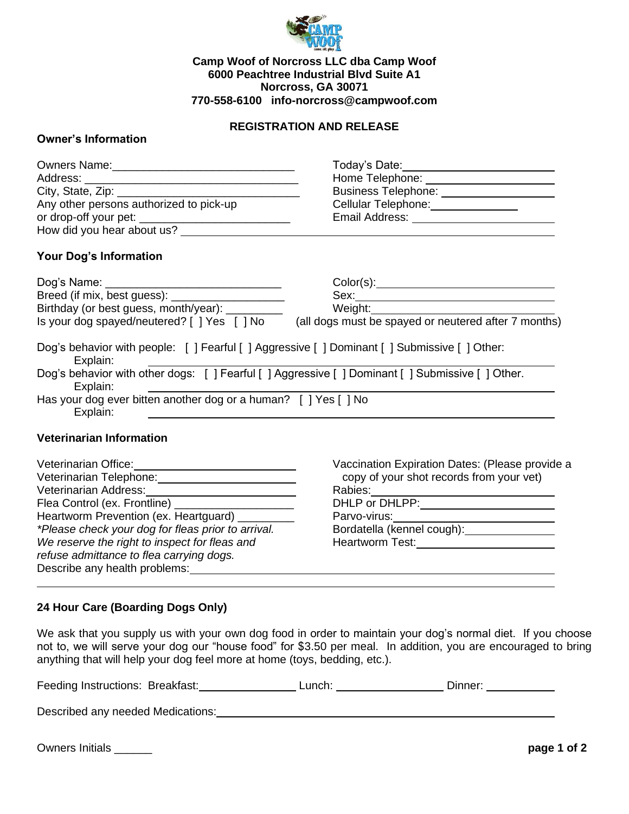

### **Camp Woof of Norcross LLC dba Camp Woof 6000 Peachtree Industrial Blvd Suite A1 Norcross, GA 30071 770-558-6100 info-norcross@campwoof.com**

# **REGISTRATION AND RELEASE**

## **Owner's Information**

|                                         | Today's Date:_______________________       |
|-----------------------------------------|--------------------------------------------|
|                                         | Home Telephone: <u>___________________</u> |
|                                         | Business Telephone: ________________       |
| Any other persons authorized to pick-up | Cellular Telephone: ____________           |
|                                         | Email Address: ________________            |
| How did you hear about us?              |                                            |
| <b>Your Dog's Information</b>           |                                            |
|                                         |                                            |

| Dog's Name:                                                                                                   |                                                      |
|---------------------------------------------------------------------------------------------------------------|------------------------------------------------------|
| Breed (if mix, best guess): ________                                                                          | Sex:                                                 |
| Birthday (or best guess, month/year): ________                                                                | Weight:                                              |
| Is your dog spayed/neutered? [ ] Yes [ ] No                                                                   | (all dogs must be spayed or neutered after 7 months) |
| Dog's behavior with people: [] Fearful [] Aggressive [] Dominant [] Submissive [] Other:<br>Explain:          |                                                      |
| Dog's behavior with other dogs: [ ] Fearful [ ] Aggressive [ ] Dominant [ ] Submissive [ ] Other.<br>Explain: |                                                      |
| Has your dog ever bitten another dog or a human? [ ] Yes [ ] No<br>Explain:                                   |                                                      |

### **Veterinarian Information**

| Veterinarian Office:                               | Vaccination Expiration Dates: (Please provide a |
|----------------------------------------------------|-------------------------------------------------|
| Veterinarian Telephone:                            | copy of your shot records from your vet)        |
| Veterinarian Address:                              | Rabies:                                         |
| Flea Control (ex. Frontline) ___                   | DHLP or DHLPP:                                  |
| Heartworm Prevention (ex. Heartguard) _______      | Parvo-virus:                                    |
| *Please check your dog for fleas prior to arrival. | Bordatella (kennel cough):                      |
| We reserve the right to inspect for fleas and      | Heartworm Test:                                 |
| refuse admittance to flea carrying dogs.           |                                                 |
| Describe any health problems:                      |                                                 |

### **24 Hour Care (Boarding Dogs Only)**

We ask that you supply us with your own dog food in order to maintain your dog's normal diet. If you choose not to, we will serve your dog our "house food" for \$3.50 per meal. In addition, you are encouraged to bring anything that will help your dog feel more at home (toys, bedding, etc.).

| Feeding Instructions: Breakfast: | Lunch: | Dinner <sup>.</sup> |
|----------------------------------|--------|---------------------|
|                                  |        |                     |

Described any needed Medications: Described any needed Medications:

Owners Initials \_\_\_\_\_\_ **page 1 of 2**